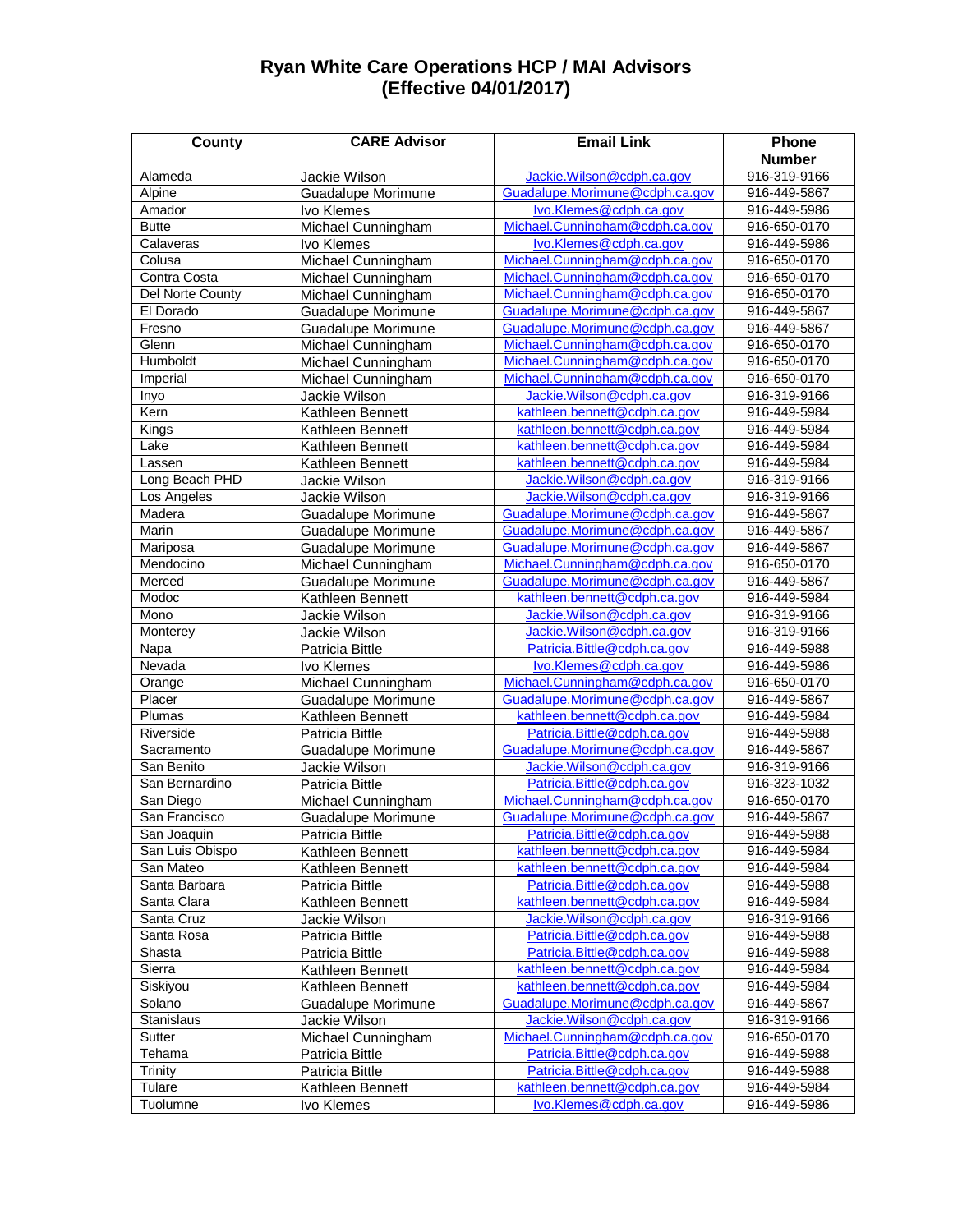## **Ryan White Care Operations HCP / MAI Advisors (Effective 04/01/2017)**

| <b>County</b>           | <b>CARE Advisor</b>       | <b>Email Link</b>              | Phone         |
|-------------------------|---------------------------|--------------------------------|---------------|
|                         |                           |                                | <b>Number</b> |
| Alameda                 | Jackie Wilson             | Jackie.Wilson@cdph.ca.gov      | 916-319-9166  |
| Alpine                  | Guadalupe Morimune        | Guadalupe.Morimune@cdph.ca.gov | 916-449-5867  |
| Amador                  | Ivo Klemes                | Ivo.Klemes@cdph.ca.gov         | 916-449-5986  |
| <b>Butte</b>            | Michael Cunningham        | Michael.Cunningham@cdph.ca.gov | 916-650-0170  |
| Calaveras               | Ivo Klemes                | lvo.Klemes@cdph.ca.gov         | 916-449-5986  |
| Colusa                  | Michael Cunningham        | Michael.Cunningham@cdph.ca.gov | 916-650-0170  |
| Contra Costa            | Michael Cunningham        | Michael.Cunningham@cdph.ca.gov | 916-650-0170  |
| <b>Del Norte County</b> | Michael Cunningham        | Michael.Cunningham@cdph.ca.gov | 916-650-0170  |
| El Dorado               | <b>Guadalupe Morimune</b> | Guadalupe.Morimune@cdph.ca.gov | 916-449-5867  |
| Fresno                  | <b>Guadalupe Morimune</b> | Guadalupe.Morimune@cdph.ca.gov | 916-449-5867  |
| Glenn                   | Michael Cunningham        | Michael.Cunningham@cdph.ca.gov | 916-650-0170  |
| Humboldt                | Michael Cunningham        | Michael.Cunningham@cdph.ca.gov | 916-650-0170  |
| Imperial                | Michael Cunningham        | Michael.Cunningham@cdph.ca.gov | 916-650-0170  |
| Inyo                    | Jackie Wilson             | Jackie.Wilson@cdph.ca.gov      | 916-319-9166  |
| Kern                    | Kathleen Bennett          | kathleen.bennett@cdph.ca.gov   | 916-449-5984  |
| Kings                   | Kathleen Bennett          | kathleen.bennett@cdph.ca.gov   | 916-449-5984  |
| Lake                    | Kathleen Bennett          | kathleen.bennett@cdph.ca.gov   | 916-449-5984  |
| Lassen                  | Kathleen Bennett          | kathleen.bennett@cdph.ca.gov   | 916-449-5984  |
| Long Beach PHD          | Jackie Wilson             | Jackie.Wilson@cdph.ca.gov      | 916-319-9166  |
| Los Angeles             | Jackie Wilson             | Jackie.Wilson@cdph.ca.gov      | 916-319-9166  |
| Madera                  | <b>Guadalupe Morimune</b> | Guadalupe.Morimune@cdph.ca.gov | 916-449-5867  |
| Marin                   | <b>Guadalupe Morimune</b> | Guadalupe.Morimune@cdph.ca.gov | 916-449-5867  |
|                         |                           | Guadalupe.Morimune@cdph.ca.gov | 916-449-5867  |
| Mariposa<br>Mendocino   | <b>Guadalupe Morimune</b> |                                |               |
|                         | Michael Cunningham        | Michael.Cunningham@cdph.ca.gov | 916-650-0170  |
| Merced                  | <b>Guadalupe Morimune</b> | Guadalupe.Morimune@cdph.ca.gov | 916-449-5867  |
| Modoc                   | Kathleen Bennett          | kathleen.bennett@cdph.ca.gov   | 916-449-5984  |
| Mono                    | Jackie Wilson             | Jackie.Wilson@cdph.ca.gov      | 916-319-9166  |
| Monterey                | Jackie Wilson             | Jackie.Wilson@cdph.ca.gov      | 916-319-9166  |
| Napa                    | Patricia Bittle           | Patricia.Bittle@cdph.ca.gov    | 916-449-5988  |
| Nevada                  | Ivo Klemes                | Ivo.Klemes@cdph.ca.gov         | 916-449-5986  |
| Orange                  | Michael Cunningham        | Michael.Cunningham@cdph.ca.gov | 916-650-0170  |
| Placer                  | <b>Guadalupe Morimune</b> | Guadalupe.Morimune@cdph.ca.gov | 916-449-5867  |
| Plumas                  | Kathleen Bennett          | kathleen.bennett@cdph.ca.gov   | 916-449-5984  |
| Riverside               | Patricia Bittle           | Patricia.Bittle@cdph.ca.gov    | 916-449-5988  |
| Sacramento              | <b>Guadalupe Morimune</b> | Guadalupe.Morimune@cdph.ca.gov | 916-449-5867  |
| San Benito              | Jackie Wilson             | Jackie.Wilson@cdph.ca.gov      | 916-319-9166  |
| San Bernardino          | Patricia Bittle           | Patricia. Bittle @cdph.ca.gov  | 916-323-1032  |
| San Diego               | Michael Cunningham        | Michael.Cunningham@cdph.ca.gov | 916-650-0170  |
| San Francisco           | <b>Guadalupe Morimune</b> | Guadalupe.Morimune@cdph.ca.gov | 916-449-5867  |
| San Joaquin             | Patricia Bittle           | Patricia.Bittle@cdph.ca.gov    | 916-449-5988  |
| San Luis Obispo         | Kathleen Bennett          | kathleen.bennett@cdph.ca.gov   | 916-449-5984  |
| San Mateo               | Kathleen Bennett          | kathleen.bennett@cdph.ca.gov   | 916-449-5984  |
| Santa Barbara           | Patricia Bittle           | Patricia.Bittle@cdph.ca.gov    | 916-449-5988  |
| Santa Clara             | Kathleen Bennett          | kathleen.bennett@cdph.ca.gov   | 916-449-5984  |
| Santa Cruz              | Jackie Wilson             | Jackie.Wilson@cdph.ca.gov      | 916-319-9166  |
| Santa Rosa              | Patricia Bittle           | Patricia. Bittle@cdph.ca.gov   | 916-449-5988  |
| Shasta                  | Patricia Bittle           | Patricia. Bittle @cdph.ca.gov  | 916-449-5988  |
| Sierra                  | Kathleen Bennett          | kathleen.bennett@cdph.ca.gov   | 916-449-5984  |
| Siskiyou                | Kathleen Bennett          | kathleen.bennett@cdph.ca.gov   | 916-449-5984  |
| Solano                  | Guadalupe Morimune        | Guadalupe.Morimune@cdph.ca.gov | 916-449-5867  |
| Stanislaus              | Jackie Wilson             | Jackie.Wilson@cdph.ca.gov      | 916-319-9166  |
| Sutter                  | Michael Cunningham        | Michael.Cunningham@cdph.ca.gov | 916-650-0170  |
| Tehama                  | Patricia Bittle           | Patricia.Bittle@cdph.ca.gov    | 916-449-5988  |
| Trinity                 | Patricia Bittle           | Patricia.Bittle@cdph.ca.gov    | 916-449-5988  |
| Tulare                  | Kathleen Bennett          | kathleen.bennett@cdph.ca.gov   | 916-449-5984  |
| Tuolumne                | Ivo Klemes                | lvo.Klemes@cdph.ca.gov         | 916-449-5986  |
|                         |                           |                                |               |